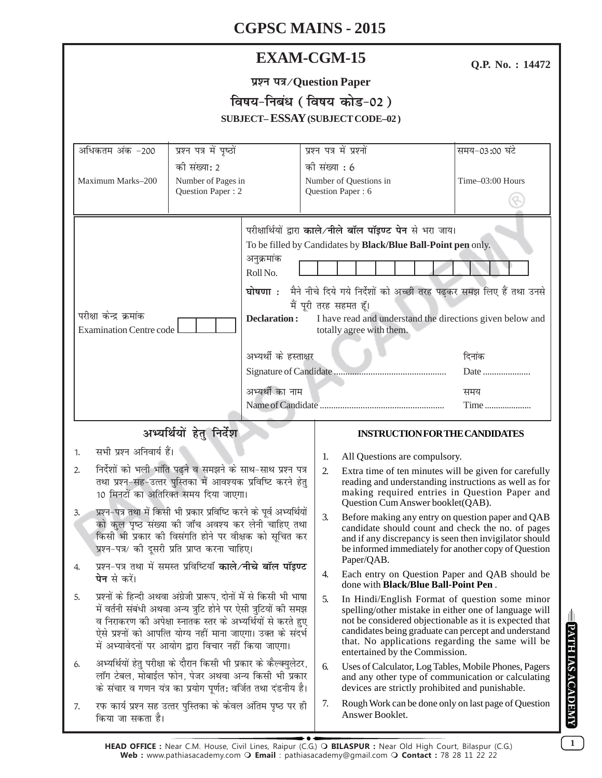# **CGPSC MAINS - 2015**

|                   |                                          |                        | CGPSC MAINS - 2015                                                                                                                 |  |                  |
|-------------------|------------------------------------------|------------------------|------------------------------------------------------------------------------------------------------------------------------------|--|------------------|
|                   | <b>EXAM-CGM-15</b>                       |                        |                                                                                                                                    |  |                  |
|                   |                                          |                        | प्रश्न पत्र/Question Paper                                                                                                         |  |                  |
|                   |                                          |                        | विषय-निबंध (विषय कोड-02)                                                                                                           |  |                  |
|                   |                                          |                        | <b>SUBJECT-ESSAY (SUBJECT CODE-02)</b>                                                                                             |  |                  |
| अधिकतम अंक -200   | प्रश्न पत्र में पृष्ठों                  |                        | प्रश्न पत्र में प्रश्नों                                                                                                           |  | समय-03:00 घंटे   |
|                   | की संख्या: 2                             |                        | को संख्या : 6                                                                                                                      |  |                  |
| Maximum Marks-200 | Number of Pages in<br>Question Paper : 2 |                        | Number of Questions in<br>Question Paper: 6                                                                                        |  | Time-03:00 Hours |
|                   |                                          | अनुक्रमांक<br>Roll No. | परीक्षार्थियों द्वारा काले/नीले बॉल पॉइण्ट पेन से भरा जाय।<br>To be filled by Candidates by <b>Black/Blue Ball-Point pen</b> only. |  |                  |
|                   |                                          |                        | घोषणा : मैने नीचे दिये गये निर्देशों को अच्छी तरह पढकर समझ लिए हैं तथा<br>ਜੈਂ ਸੂਸੇ ਬਾਟ ਸਟਸੂਬ ਵੱਖ                                   |  |                  |

|                        | $\sim$ 1999 921 121 14                                                                |       |  |  |
|------------------------|---------------------------------------------------------------------------------------|-------|--|--|
| Declaration :          | I have read and understand the directions given below and<br>totally agree with them. |       |  |  |
| अभ्यर्थी के हस्ताक्षर  |                                                                                       | दिनाक |  |  |
| Signature of Candidate | Date                                                                                  |       |  |  |
| अभ्यर्थी का नाम        |                                                                                       | समय   |  |  |
|                        |                                                                                       |       |  |  |

## अभ्यर्थियों हेतु निर्देश

1. सभी प्रश्न अनिवार्य हैं।

परीक्षा केन्द्र क्रमांक

Examination Centre code

- 2. निर्देशों को भली भांति पढ़ने व समझने के साथ-साथ प्रश्न पत्र तथा प्रश्न-सह-उत्तर पुस्तिका में आवश्यक प्रविष्टि करने हेतु 10 मिनटों का अतिरिक्त समय दिया जाएगा।
- 3. प्रश्न-पत्र तथा में किसी भी प्रकार प्रविष्टि करने के पूर्व अभ्यर्थियों को कुल पृष्ठ संख्या की जाँच अवश्य कर लेनी चाहिए तथा किसी भी प्रकार की विसंगति होने पर वीक्षक को सचित कर प्रश्न-पत्र/ की दूसरी प्रति प्राप्त करना चाहिए।
- 4. प्रश्न-पत्र तथा में समस्त प्रविष्टियाँ **काले⁄नीचे बॉल पॉइण्ट पेन** से करें।
- 5. प्रश्नों के हिन्दी अथवा अंग्रेजी प्रारूप. दोनों में से किसी भी भाषा में वर्तनी संबंधी अथवा अन्य त्रूटि होने पर ऐसी त्रुटियों की समझ व निराकरण की अपेक्षा स्नातक स्तर के अभ्यर्थियों से करते हुए ऐसे प्रश्नों को आपत्ति योग्य नहीं माना जाएगा। उक्त के संदर्भ में अभ्यावेदनों पर आयोग द्वारा विचार नहीं किया जाएगा।
- 6. अभ्यर्थियों हेतु परीक्षा के दौरान किसी भी प्रकार के कैल्क्युलेटर, लॉग टेबल, मोबाईल फोन, पेजर अथवा अन्य किसी भी प्रकार के संचार व गणन यंत्र का प्रयोग पर्णत: वर्जित तथा दंडनीय है।
- 7. रफ कार्य प्रश्न सह उत्तर पुस्तिका के केवल अंतिम पृष्ठ पर ही किया जा सकता है।

### **INSTRUCTION FOR THE CANDIDATES**

समझ लिए हैं तथा उनसे

**Q.P. No. : 14472**

- 1. All Questions are compulsory.
- 2. Extra time of ten minutes will be given for carefully reading and understanding instructions as well as for making required entries in Question Paper and Question Cum Answer booklet(QAB).
- 3. Before making any entry on question paper and QAB candidate should count and check the no. of pages and if any discrepancy is seen then invigilator should be informed immediately for another copy of Question Paper/QAB.
- 4. Each entry on Question Paper and QAB should be done with **Black/Blue Ball-Point Pen** .
- 5. In Hindi/English Format of question some minor spelling/other mistake in either one of language will not be considered objectionable as it is expected that candidates being graduate can percept and understand that. No applications regarding the same will be entertained by the Commission.
- 6. Uses of Calculator, Log Tables, Mobile Phones, Pagers and any other type of communication or calculating devices are strictly prohibited and punishable.
- 7. Rough Work can be done only on last page of Question Answer Booklet.